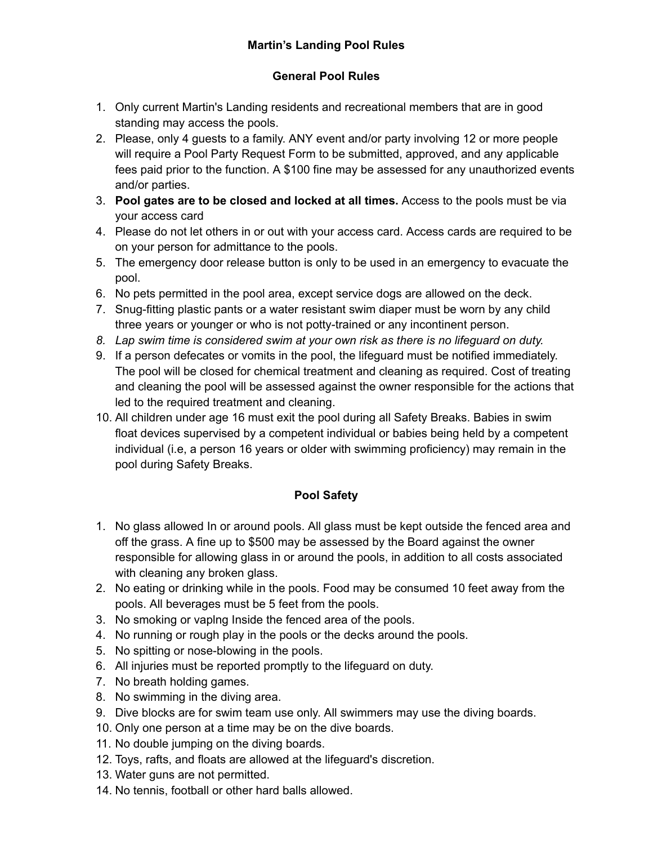## **General Pool Rules**

- 1. Only current Martin's Landing residents and recreational members that are in good standing may access the pools.
- 2. Please, only 4 guests to a family. ANY event and/or party involving 12 or more people will require a Pool Party Request Form to be submitted, approved, and any applicable fees paid prior to the function. A \$100 fine may be assessed for any unauthorized events and/or parties.
- 3. **Pool gates are to be closed and locked at all times.** Access to the pools must be via your access card
- 4. Please do not let others in or out with your access card. Access cards are required to be on your person for admittance to the pools.
- 5. The emergency door release button is only to be used in an emergency to evacuate the pool.
- 6. No pets permitted in the pool area, except service dogs are allowed on the deck.
- 7. Snug-fitting plastic pants or a water resistant swim diaper must be worn by any child three years or younger or who is not potty-trained or any incontinent person.
- *8. Lap swim time is considered swim at your own risk as there is no lifeguard on duty.*
- 9. If a person defecates or vomits in the pool, the lifeguard must be notified immediately. The pool will be closed for chemical treatment and cleaning as required. Cost of treating and cleaning the pool will be assessed against the owner responsible for the actions that led to the required treatment and cleaning.
- 10. All children under age 16 must exit the pool during all Safety Breaks. Babies in swim float devices supervised by a competent individual or babies being held by a competent individual (i.e, a person 16 years or older with swimming proficiency) may remain in the pool during Safety Breaks.

## **Pool Safety**

- 1. No glass allowed In or around pools. All glass must be kept outside the fenced area and off the grass. A fine up to \$500 may be assessed by the Board against the owner responsible for allowing glass in or around the pools, in addition to all costs associated with cleaning any broken glass.
- 2. No eating or drinking while in the pools. Food may be consumed 10 feet away from the pools. All beverages must be 5 feet from the pools.
- 3. No smoking or vaplng Inside the fenced area of the pools.
- 4. No running or rough play in the pools or the decks around the pools.
- 5. No spitting or nose-blowing in the pools.
- 6. All injuries must be reported promptly to the lifeguard on duty.
- 7. No breath holding games.
- 8. No swimming in the diving area.
- 9. Dive blocks are for swim team use only. All swimmers may use the diving boards.
- 10. Only one person at a time may be on the dive boards.
- 11. No double jumping on the diving boards.
- 12. Toys, rafts, and floats are allowed at the lifeguard's discretion.
- 13. Water guns are not permitted.
- 14. No tennis, football or other hard balls allowed.